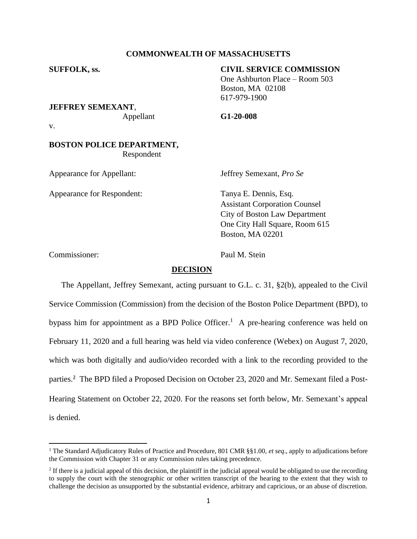# **COMMONWEALTH OF MASSACHUSETTS**

# **SUFFOLK, ss. CIVIL SERVICE COMMISSION**

One Ashburton Place – Room 503 Boston, MA 02108 617-979-1900

**JEFFREY SEMEXANT**,

Appellant **G1-20-008**

v.

# **BOSTON POLICE DEPARTMENT,** Respondent

Appearance for Appellant: Jeffrey Semexant, *Pro Se*

Appearance for Respondent: Tanya E. Dennis, Esq.

Assistant Corporation Counsel City of Boston Law Department One City Hall Square, Room 615 Boston, MA 02201

Commissioner: Paul M. Stein

# **DECISION**

The Appellant, Jeffrey Semexant, acting pursuant to G.L. c. 31, §2(b), appealed to the Civil Service Commission (Commission) from the decision of the Boston Police Department (BPD), to bypass him for appointment as a BPD Police Officer.<sup>1</sup> A pre-hearing conference was held on February 11, 2020 and a full hearing was held via video conference (Webex) on August 7, 2020, which was both digitally and audio/video recorded with a link to the recording provided to the parties.<sup>2</sup> The BPD filed a Proposed Decision on October 23, 2020 and Mr. Semexant filed a Post-Hearing Statement on October 22, 2020. For the reasons set forth below, Mr. Semexant's appeal is denied.

<sup>1</sup> The Standard Adjudicatory Rules of Practice and Procedure, 801 CMR §§1.00, *et seq*., apply to adjudications before the Commission with Chapter 31 or any Commission rules taking precedence.

 $2$  If there is a judicial appeal of this decision, the plaintiff in the judicial appeal would be obligated to use the recording to supply the court with the stenographic or other written transcript of the hearing to the extent that they wish to challenge the decision as unsupported by the substantial evidence, arbitrary and capricious, or an abuse of discretion.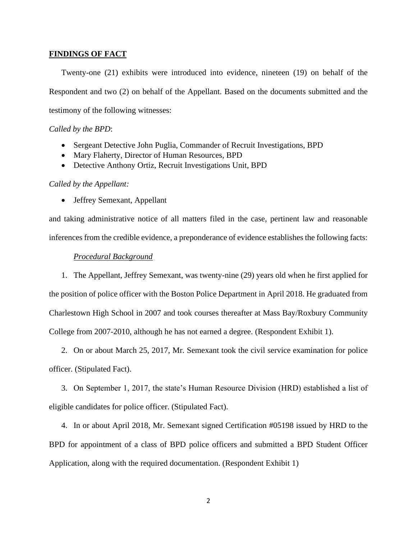## **FINDINGS OF FACT**

Twenty-one (21) exhibits were introduced into evidence, nineteen (19) on behalf of the Respondent and two (2) on behalf of the Appellant. Based on the documents submitted and the testimony of the following witnesses:

## *Called by the BPD*:

- Sergeant Detective John Puglia, Commander of Recruit Investigations, BPD
- Mary Flaherty, Director of Human Resources, BPD
- Detective Anthony Ortiz, Recruit Investigations Unit, BPD

# *Called by the Appellant:*

• Jeffrey Semexant, Appellant

and taking administrative notice of all matters filed in the case, pertinent law and reasonable inferences from the credible evidence, a preponderance of evidence establishes the following facts:

#### *Procedural Background*

1. The Appellant, Jeffrey Semexant, was twenty-nine (29) years old when he first applied for the position of police officer with the Boston Police Department in April 2018. He graduated from Charlestown High School in 2007 and took courses thereafter at Mass Bay/Roxbury Community College from 2007-2010, although he has not earned a degree. (Respondent Exhibit 1).

2. On or about March 25, 2017, Mr. Semexant took the civil service examination for police officer. (Stipulated Fact).

3. On September 1, 2017, the state's Human Resource Division (HRD) established a list of eligible candidates for police officer. (Stipulated Fact).

4. In or about April 2018, Mr. Semexant signed Certification #05198 issued by HRD to the BPD for appointment of a class of BPD police officers and submitted a BPD Student Officer Application, along with the required documentation. (Respondent Exhibit 1)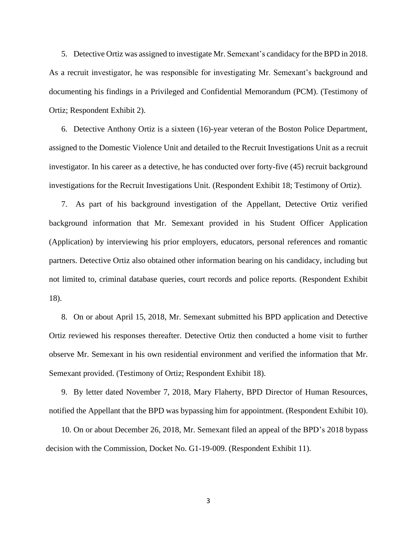5. Detective Ortiz was assigned to investigate Mr. Semexant's candidacy for the BPD in 2018. As a recruit investigator, he was responsible for investigating Mr. Semexant's background and documenting his findings in a Privileged and Confidential Memorandum (PCM). (Testimony of Ortiz; Respondent Exhibit 2).

6. Detective Anthony Ortiz is a sixteen (16)-year veteran of the Boston Police Department, assigned to the Domestic Violence Unit and detailed to the Recruit Investigations Unit as a recruit investigator. In his career as a detective, he has conducted over forty-five (45) recruit background investigations for the Recruit Investigations Unit. (Respondent Exhibit 18; Testimony of Ortiz).

7. As part of his background investigation of the Appellant, Detective Ortiz verified background information that Mr. Semexant provided in his Student Officer Application (Application) by interviewing his prior employers, educators, personal references and romantic partners. Detective Ortiz also obtained other information bearing on his candidacy, including but not limited to, criminal database queries, court records and police reports. (Respondent Exhibit 18).

8. On or about April 15, 2018, Mr. Semexant submitted his BPD application and Detective Ortiz reviewed his responses thereafter. Detective Ortiz then conducted a home visit to further observe Mr. Semexant in his own residential environment and verified the information that Mr. Semexant provided. (Testimony of Ortiz; Respondent Exhibit 18).

9. By letter dated November 7, 2018, Mary Flaherty, BPD Director of Human Resources, notified the Appellant that the BPD was bypassing him for appointment. (Respondent Exhibit 10).

10. On or about December 26, 2018, Mr. Semexant filed an appeal of the BPD's 2018 bypass decision with the Commission, Docket No. G1-19-009. (Respondent Exhibit 11).

3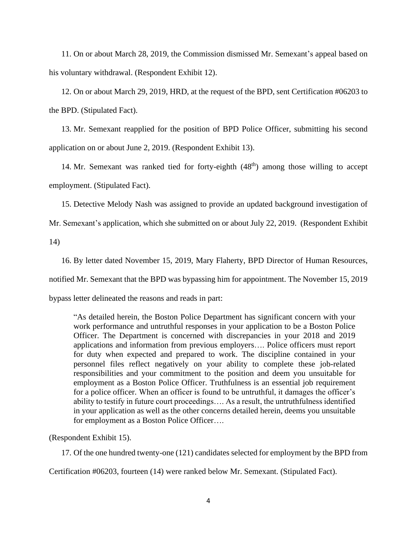11. On or about March 28, 2019, the Commission dismissed Mr. Semexant's appeal based on his voluntary withdrawal. (Respondent Exhibit 12).

12. On or about March 29, 2019, HRD, at the request of the BPD, sent Certification #06203 to the BPD. (Stipulated Fact).

13. Mr. Semexant reapplied for the position of BPD Police Officer, submitting his second application on or about June 2, 2019. (Respondent Exhibit 13).

14. Mr. Semexant was ranked tied for forty-eighth  $(48<sup>th</sup>)$  among those willing to accept employment. (Stipulated Fact).

15. Detective Melody Nash was assigned to provide an updated background investigation of Mr. Semexant's application, which she submitted on or about July 22, 2019. (Respondent Exhibit

14)

16. By letter dated November 15, 2019, Mary Flaherty, BPD Director of Human Resources,

notified Mr. Semexant that the BPD was bypassing him for appointment. The November 15, 2019

bypass letter delineated the reasons and reads in part:

"As detailed herein, the Boston Police Department has significant concern with your work performance and untruthful responses in your application to be a Boston Police Officer. The Department is concerned with discrepancies in your 2018 and 2019 applications and information from previous employers…. Police officers must report for duty when expected and prepared to work. The discipline contained in your personnel files reflect negatively on your ability to complete these job-related responsibilities and your commitment to the position and deem you unsuitable for employment as a Boston Police Officer. Truthfulness is an essential job requirement for a police officer. When an officer is found to be untruthful, it damages the officer's ability to testify in future court proceedings…. As a result, the untruthfulness identified in your application as well as the other concerns detailed herein, deems you unsuitable for employment as a Boston Police Officer….

(Respondent Exhibit 15).

17. Of the one hundred twenty-one (121) candidates selected for employment by the BPD from

Certification #06203, fourteen (14) were ranked below Mr. Semexant. (Stipulated Fact).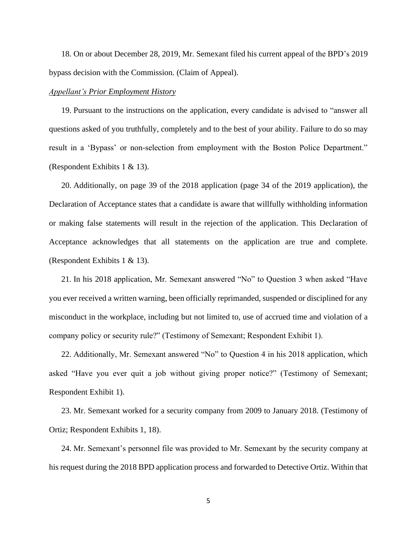18. On or about December 28, 2019, Mr. Semexant filed his current appeal of the BPD's 2019 bypass decision with the Commission. (Claim of Appeal).

## *Appellant's Prior Employment History*

19. Pursuant to the instructions on the application, every candidate is advised to "answer all questions asked of you truthfully, completely and to the best of your ability. Failure to do so may result in a 'Bypass' or non-selection from employment with the Boston Police Department." (Respondent Exhibits 1 & 13).

20. Additionally, on page 39 of the 2018 application (page 34 of the 2019 application), the Declaration of Acceptance states that a candidate is aware that willfully withholding information or making false statements will result in the rejection of the application. This Declaration of Acceptance acknowledges that all statements on the application are true and complete. (Respondent Exhibits 1 & 13).

21. In his 2018 application, Mr. Semexant answered "No" to Question 3 when asked "Have you ever received a written warning, been officially reprimanded, suspended or disciplined for any misconduct in the workplace, including but not limited to, use of accrued time and violation of a company policy or security rule?" (Testimony of Semexant; Respondent Exhibit 1).

22. Additionally, Mr. Semexant answered "No" to Question 4 in his 2018 application, which asked "Have you ever quit a job without giving proper notice?" (Testimony of Semexant; Respondent Exhibit 1).

23. Mr. Semexant worked for a security company from 2009 to January 2018. (Testimony of Ortiz; Respondent Exhibits 1, 18).

24. Mr. Semexant's personnel file was provided to Mr. Semexant by the security company at his request during the 2018 BPD application process and forwarded to Detective Ortiz. Within that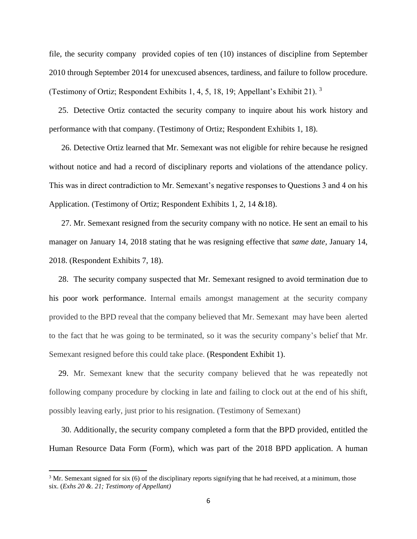file, the security company provided copies of ten (10) instances of discipline from September 2010 through September 2014 for unexcused absences, tardiness, and failure to follow procedure. (Testimony of Ortiz; Respondent Exhibits 1, 4, 5, 18, 19; Appellant's Exhibit 21). <sup>3</sup>

25. Detective Ortiz contacted the security company to inquire about his work history and performance with that company. (Testimony of Ortiz; Respondent Exhibits 1, 18).

26. Detective Ortiz learned that Mr. Semexant was not eligible for rehire because he resigned without notice and had a record of disciplinary reports and violations of the attendance policy. This was in direct contradiction to Mr. Semexant's negative responses to Questions 3 and 4 on his Application. (Testimony of Ortiz; Respondent Exhibits 1, 2, 14 &18).

27. Mr. Semexant resigned from the security company with no notice. He sent an email to his manager on January 14, 2018 stating that he was resigning effective that *same date*, January 14, 2018. (Respondent Exhibits 7, 18).

28. The security company suspected that Mr. Semexant resigned to avoid termination due to his poor work performance. Internal emails amongst management at the security company provided to the BPD reveal that the company believed that Mr. Semexant may have been alerted to the fact that he was going to be terminated, so it was the security company's belief that Mr. Semexant resigned before this could take place. (Respondent Exhibit 1).

29. Mr. Semexant knew that the security company believed that he was repeatedly not following company procedure by clocking in late and failing to clock out at the end of his shift, possibly leaving early, just prior to his resignation. (Testimony of Semexant)

30. Additionally, the security company completed a form that the BPD provided, entitled the Human Resource Data Form (Form), which was part of the 2018 BPD application. A human

 $3$  Mr. Semexant signed for six (6) of the disciplinary reports signifying that he had received, at a minimum, those six. (*Exhs 20 &. 21; Testimony of Appellant)*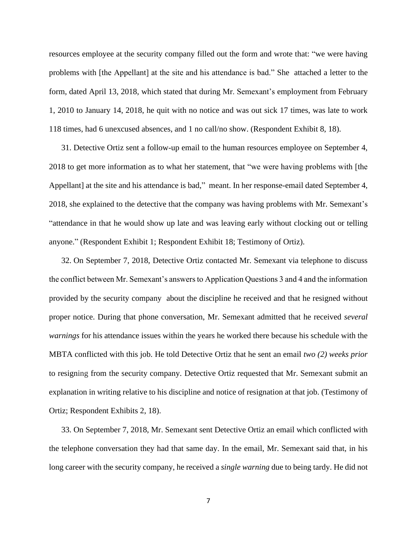resources employee at the security company filled out the form and wrote that: "we were having problems with [the Appellant] at the site and his attendance is bad." She attached a letter to the form, dated April 13, 2018, which stated that during Mr. Semexant's employment from February 1, 2010 to January 14, 2018, he quit with no notice and was out sick 17 times, was late to work 118 times, had 6 unexcused absences, and 1 no call/no show. (Respondent Exhibit 8, 18).

31. Detective Ortiz sent a follow-up email to the human resources employee on September 4, 2018 to get more information as to what her statement, that "we were having problems with [the Appellant] at the site and his attendance is bad," meant. In her response-email dated September 4, 2018, she explained to the detective that the company was having problems with Mr. Semexant's "attendance in that he would show up late and was leaving early without clocking out or telling anyone." (Respondent Exhibit 1; Respondent Exhibit 18; Testimony of Ortiz).

32. On September 7, 2018, Detective Ortiz contacted Mr. Semexant via telephone to discuss the conflict between Mr. Semexant's answers to Application Questions 3 and 4 and the information provided by the security company about the discipline he received and that he resigned without proper notice. During that phone conversation, Mr. Semexant admitted that he received *several warnings* for his attendance issues within the years he worked there because his schedule with the MBTA conflicted with this job. He told Detective Ortiz that he sent an email *two (2) weeks prior*  to resigning from the security company. Detective Ortiz requested that Mr. Semexant submit an explanation in writing relative to his discipline and notice of resignation at that job. (Testimony of Ortiz; Respondent Exhibits 2, 18).

33. On September 7, 2018, Mr. Semexant sent Detective Ortiz an email which conflicted with the telephone conversation they had that same day. In the email, Mr. Semexant said that, in his long career with the security company, he received a *single warning* due to being tardy. He did not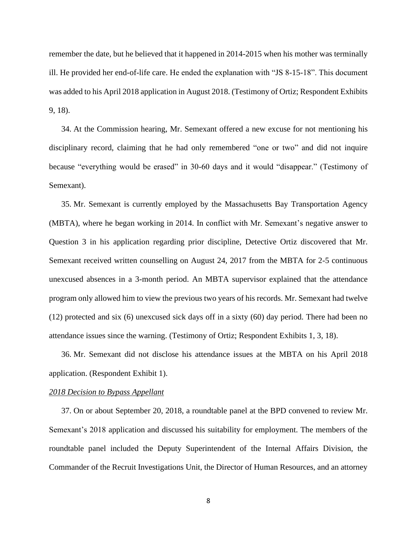remember the date, but he believed that it happened in 2014-2015 when his mother was terminally ill. He provided her end-of-life care. He ended the explanation with "JS 8-15-18". This document was added to his April 2018 application in August 2018. (Testimony of Ortiz; Respondent Exhibits 9, 18).

34. At the Commission hearing, Mr. Semexant offered a new excuse for not mentioning his disciplinary record, claiming that he had only remembered "one or two" and did not inquire because "everything would be erased" in 30-60 days and it would "disappear." (Testimony of Semexant).

35. Mr. Semexant is currently employed by the Massachusetts Bay Transportation Agency (MBTA), where he began working in 2014. In conflict with Mr. Semexant's negative answer to Question 3 in his application regarding prior discipline, Detective Ortiz discovered that Mr. Semexant received written counselling on August 24, 2017 from the MBTA for 2-5 continuous unexcused absences in a 3-month period. An MBTA supervisor explained that the attendance program only allowed him to view the previous two years of his records. Mr. Semexant had twelve (12) protected and six (6) unexcused sick days off in a sixty (60) day period. There had been no attendance issues since the warning. (Testimony of Ortiz; Respondent Exhibits 1, 3, 18).

36. Mr. Semexant did not disclose his attendance issues at the MBTA on his April 2018 application. (Respondent Exhibit 1).

#### *2018 Decision to Bypass Appellant*

37. On or about September 20, 2018, a roundtable panel at the BPD convened to review Mr. Semexant's 2018 application and discussed his suitability for employment. The members of the roundtable panel included the Deputy Superintendent of the Internal Affairs Division, the Commander of the Recruit Investigations Unit, the Director of Human Resources, and an attorney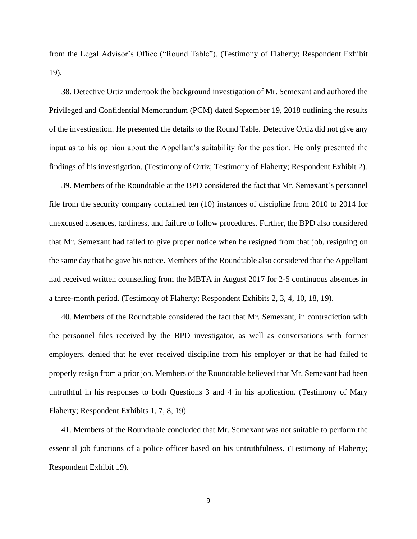from the Legal Advisor's Office ("Round Table"). (Testimony of Flaherty; Respondent Exhibit 19).

38. Detective Ortiz undertook the background investigation of Mr. Semexant and authored the Privileged and Confidential Memorandum (PCM) dated September 19, 2018 outlining the results of the investigation. He presented the details to the Round Table. Detective Ortiz did not give any input as to his opinion about the Appellant's suitability for the position. He only presented the findings of his investigation. (Testimony of Ortiz; Testimony of Flaherty; Respondent Exhibit 2).

39. Members of the Roundtable at the BPD considered the fact that Mr. Semexant's personnel file from the security company contained ten (10) instances of discipline from 2010 to 2014 for unexcused absences, tardiness, and failure to follow procedures. Further, the BPD also considered that Mr. Semexant had failed to give proper notice when he resigned from that job, resigning on the same day that he gave his notice. Members of the Roundtable also considered that the Appellant had received written counselling from the MBTA in August 2017 for 2-5 continuous absences in a three-month period. (Testimony of Flaherty; Respondent Exhibits 2, 3, 4, 10, 18, 19).

40. Members of the Roundtable considered the fact that Mr. Semexant, in contradiction with the personnel files received by the BPD investigator, as well as conversations with former employers, denied that he ever received discipline from his employer or that he had failed to properly resign from a prior job. Members of the Roundtable believed that Mr. Semexant had been untruthful in his responses to both Questions 3 and 4 in his application. (Testimony of Mary Flaherty; Respondent Exhibits 1, 7, 8, 19).

41. Members of the Roundtable concluded that Mr. Semexant was not suitable to perform the essential job functions of a police officer based on his untruthfulness. (Testimony of Flaherty; Respondent Exhibit 19).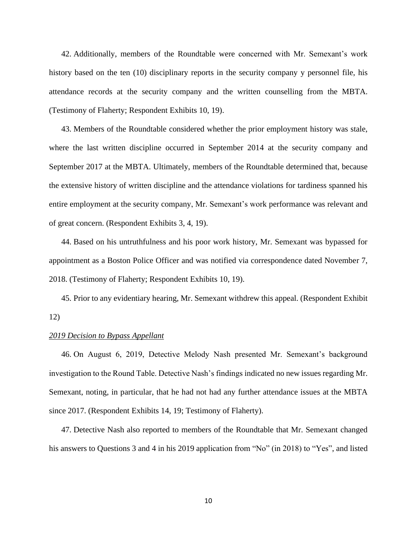42. Additionally, members of the Roundtable were concerned with Mr. Semexant's work history based on the ten (10) disciplinary reports in the security company y personnel file, his attendance records at the security company and the written counselling from the MBTA. (Testimony of Flaherty; Respondent Exhibits 10, 19).

43. Members of the Roundtable considered whether the prior employment history was stale, where the last written discipline occurred in September 2014 at the security company and September 2017 at the MBTA. Ultimately, members of the Roundtable determined that, because the extensive history of written discipline and the attendance violations for tardiness spanned his entire employment at the security company, Mr. Semexant's work performance was relevant and of great concern. (Respondent Exhibits 3, 4, 19).

44. Based on his untruthfulness and his poor work history, Mr. Semexant was bypassed for appointment as a Boston Police Officer and was notified via correspondence dated November 7, 2018. (Testimony of Flaherty; Respondent Exhibits 10, 19).

45. Prior to any evidentiary hearing, Mr. Semexant withdrew this appeal. (Respondent Exhibit 12)

## *2019 Decision to Bypass Appellant*

46. On August 6, 2019, Detective Melody Nash presented Mr. Semexant's background investigation to the Round Table. Detective Nash's findings indicated no new issues regarding Mr. Semexant, noting, in particular, that he had not had any further attendance issues at the MBTA since 2017. (Respondent Exhibits 14, 19; Testimony of Flaherty).

47. Detective Nash also reported to members of the Roundtable that Mr. Semexant changed his answers to Questions 3 and 4 in his 2019 application from "No" (in 2018) to "Yes", and listed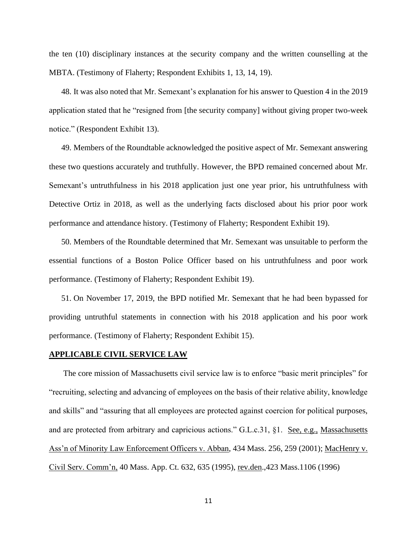the ten (10) disciplinary instances at the security company and the written counselling at the MBTA. (Testimony of Flaherty; Respondent Exhibits 1, 13, 14, 19).

48. It was also noted that Mr. Semexant's explanation for his answer to Question 4 in the 2019 application stated that he "resigned from [the security company] without giving proper two-week notice." (Respondent Exhibit 13).

49. Members of the Roundtable acknowledged the positive aspect of Mr. Semexant answering these two questions accurately and truthfully. However, the BPD remained concerned about Mr. Semexant's untruthfulness in his 2018 application just one year prior, his untruthfulness with Detective Ortiz in 2018, as well as the underlying facts disclosed about his prior poor work performance and attendance history. (Testimony of Flaherty; Respondent Exhibit 19).

50. Members of the Roundtable determined that Mr. Semexant was unsuitable to perform the essential functions of a Boston Police Officer based on his untruthfulness and poor work performance. (Testimony of Flaherty; Respondent Exhibit 19).

51. On November 17, 2019, the BPD notified Mr. Semexant that he had been bypassed for providing untruthful statements in connection with his 2018 application and his poor work performance. (Testimony of Flaherty; Respondent Exhibit 15).

#### **APPLICABLE CIVIL SERVICE LAW**

 The core mission of Massachusetts civil service law is to enforce "basic merit principles" for "recruiting, selecting and advancing of employees on the basis of their relative ability, knowledge and skills" and "assuring that all employees are protected against coercion for political purposes, and are protected from arbitrary and capricious actions." G.L.c.31,  $\S1$ . See, e.g., Massachusetts Ass'n of Minority Law Enforcement Officers v. Abban, 434 Mass. 256, 259 (2001); MacHenry v. Civil Serv. Comm'n, 40 Mass. App. Ct. 632, 635 (1995), rev.den.,423 Mass.1106 (1996)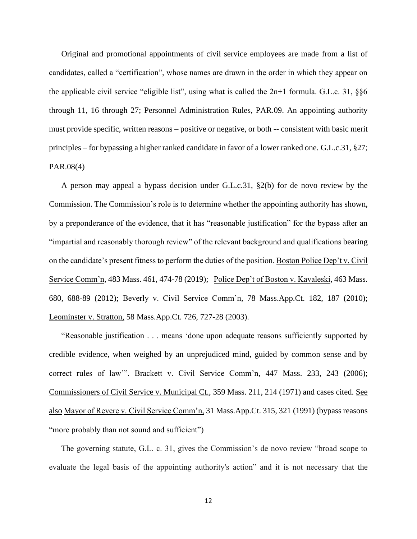Original and promotional appointments of civil service employees are made from a list of candidates, called a "certification", whose names are drawn in the order in which they appear on the applicable civil service "eligible list", using what is called the  $2n+1$  formula. G.L.c. 31, §§6 through 11, 16 through 27; Personnel Administration Rules, PAR.09. An appointing authority must provide specific, written reasons – positive or negative, or both -- consistent with basic merit principles – for bypassing a higher ranked candidate in favor of a lower ranked one. G.L.c.31, §27; PAR.08(4)

A person may appeal a bypass decision under G.L.c.31, §2(b) for de novo review by the Commission. The Commission's role is to determine whether the appointing authority has shown, by a preponderance of the evidence, that it has "reasonable justification" for the bypass after an "impartial and reasonably thorough review" of the relevant background and qualifications bearing on the candidate's present fitness to perform the duties of the position. Boston Police Dep't v. Civil Service Comm'n, 483 Mass. 461, 474-78 (2019); Police Dep't of Boston v. Kavaleski, 463 Mass. 680, 688-89 (2012); Beverly v. Civil Service Comm'n, 78 Mass.App.Ct. 182, 187 (2010); Leominster v. Stratton, 58 Mass.App.Ct. 726, 727-28 (2003).

"Reasonable justification . . . means 'done upon adequate reasons sufficiently supported by credible evidence, when weighed by an unprejudiced mind, guided by common sense and by correct rules of law"". Brackett v. Civil Service Comm'n, 447 Mass. 233, 243 (2006); Commissioners of Civil Service v. Municipal Ct., 359 Mass. 211, 214 (1971) and cases cited. See also Mayor of Revere v. Civil Service Comm'n, 31 Mass.App.Ct. 315, 321 (1991) (bypass reasons "more probably than not sound and sufficient")

The governing statute, G.L. c. 31, gives the Commission's de novo review "broad scope to evaluate the legal basis of the appointing authority's action" and it is not necessary that the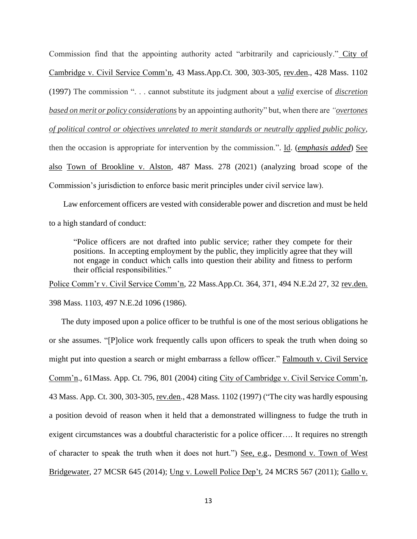Commission find that the appointing authority acted "arbitrarily and capriciously." City of Cambridge v. Civil Service Comm'n, 43 Mass.App.Ct. 300, 303-305, rev.den., 428 Mass. 1102 (1997) The commission ". . . cannot substitute its judgment about a *valid* exercise of *discretion based on merit or policy considerations* by an appointing authority" but, when there are *"overtones of political control or objectives unrelated to merit standards or neutrally applied public policy*, then the occasion is appropriate for intervention by the commission.". Id. (*emphasis added*) See also Town of Brookline v. Alston, 487 Mass. 278 (2021) (analyzing broad scope of the Commission's jurisdiction to enforce basic merit principles under civil service law).

 Law enforcement officers are vested with considerable power and discretion and must be held to a high standard of conduct:

"Police officers are not drafted into public service; rather they compete for their positions. In accepting employment by the public, they implicitly agree that they will not engage in conduct which calls into question their ability and fitness to perform their official responsibilities."

Police Comm'r v. Civil Service Comm'n, 22 Mass.App.Ct. 364, 371, 494 N.E.2d 27, 32 rev.den. 398 Mass. 1103, 497 N.E.2d 1096 (1986).

The duty imposed upon a police officer to be truthful is one of the most serious obligations he or she assumes. "[P]olice work frequently calls upon officers to speak the truth when doing so might put into question a search or might embarrass a fellow officer." Falmouth v. Civil Service Comm'n., 61Mass. App. Ct. 796, 801 (2004) citing City of Cambridge v. Civil Service Comm'n, 43 Mass. App. Ct. 300, 303-305, rev.den., 428 Mass. 1102 (1997) ("The city was hardly espousing a position devoid of reason when it held that a demonstrated willingness to fudge the truth in exigent circumstances was a doubtful characteristic for a police officer…. It requires no strength of character to speak the truth when it does not hurt.") See, e.g., Desmond v. Town of West Bridgewater, 27 MCSR 645 (2014); Ung v. Lowell Police Dep't, 24 MCRS 567 (2011); Gallo v.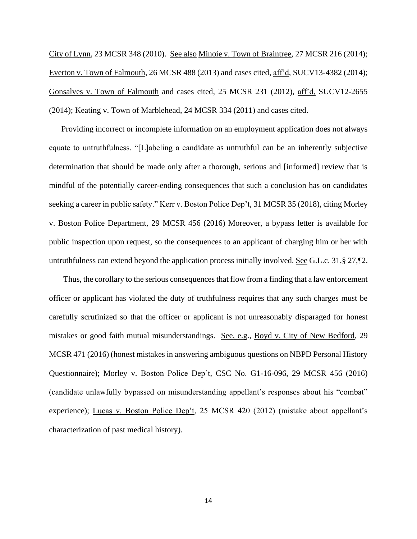City of Lynn, 23 MCSR 348 (2010). See also Minoie v. Town of Braintree, 27 MCSR 216 (2014); Everton v. Town of Falmouth, 26 MCSR 488 (2013) and cases cited, aff'd, SUCV13-4382 (2014); Gonsalves v. Town of Falmouth and cases cited, 25 MCSR 231 (2012), aff'd, SUCV12-2655 (2014); Keating v. Town of Marblehead, 24 MCSR 334 (2011) and cases cited.

Providing incorrect or incomplete information on an employment application does not always equate to untruthfulness. "[L]abeling a candidate as untruthful can be an inherently subjective determination that should be made only after a thorough, serious and [informed] review that is mindful of the potentially career-ending consequences that such a conclusion has on candidates seeking a career in public safety." Kerr v. Boston Police Dep't, 31 MCSR 35 (2018), citing Morley v. Boston Police Department, 29 MCSR 456 (2016) Moreover, a bypass letter is available for public inspection upon request, so the consequences to an applicant of charging him or her with untruthfulness can extend beyond the application process initially involved. See G.L.c. 31,§ 27,¶2.

 Thus, the corollary to the serious consequences that flow from a finding that a law enforcement officer or applicant has violated the duty of truthfulness requires that any such charges must be carefully scrutinized so that the officer or applicant is not unreasonably disparaged for honest mistakes or good faith mutual misunderstandings. See, e.g., Boyd v. City of New Bedford, 29 MCSR 471 (2016) (honest mistakes in answering ambiguous questions on NBPD Personal History Questionnaire); Morley v. Boston Police Dep't, CSC No. G1-16-096, 29 MCSR 456 (2016) (candidate unlawfully bypassed on misunderstanding appellant's responses about his "combat" experience); Lucas v. Boston Police Dep't, 25 MCSR 420 (2012) (mistake about appellant's characterization of past medical history).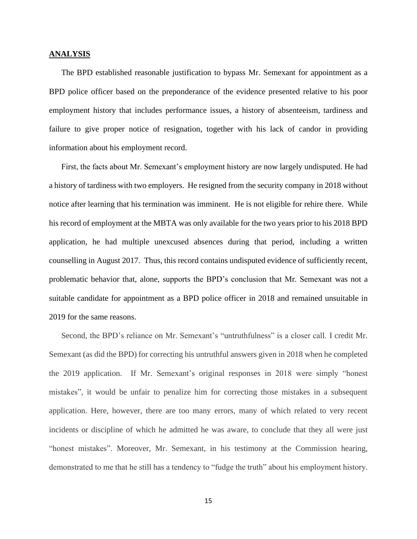#### **ANALYSIS**

The BPD established reasonable justification to bypass Mr. Semexant for appointment as a BPD police officer based on the preponderance of the evidence presented relative to his poor employment history that includes performance issues, a history of absenteeism, tardiness and failure to give proper notice of resignation, together with his lack of candor in providing information about his employment record.

First, the facts about Mr. Semexant's employment history are now largely undisputed. He had a history of tardiness with two employers. He resigned from the security company in 2018 without notice after learning that his termination was imminent. He is not eligible for rehire there. While his record of employment at the MBTA was only available for the two years prior to his 2018 BPD application, he had multiple unexcused absences during that period, including a written counselling in August 2017. Thus, this record contains undisputed evidence of sufficiently recent, problematic behavior that, alone, supports the BPD's conclusion that Mr. Semexant was not a suitable candidate for appointment as a BPD police officer in 2018 and remained unsuitable in 2019 for the same reasons.

Second, the BPD's reliance on Mr. Semexant's "untruthfulness" is a closer call. I credit Mr. Semexant (as did the BPD) for correcting his untruthful answers given in 2018 when he completed the 2019 application. If Mr. Semexant's original responses in 2018 were simply "honest mistakes", it would be unfair to penalize him for correcting those mistakes in a subsequent application. Here, however, there are too many errors, many of which related to very recent incidents or discipline of which he admitted he was aware, to conclude that they all were just "honest mistakes". Moreover, Mr. Semexant, in his testimony at the Commission hearing, demonstrated to me that he still has a tendency to "fudge the truth" about his employment history.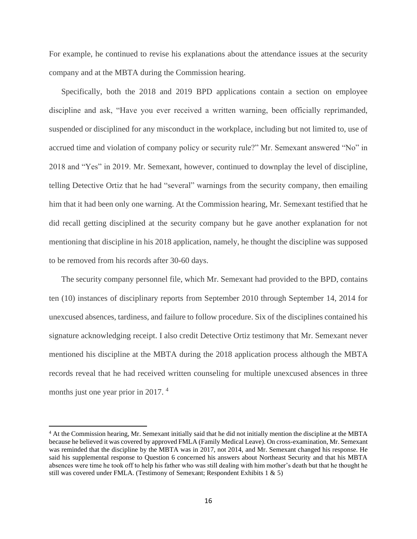For example, he continued to revise his explanations about the attendance issues at the security company and at the MBTA during the Commission hearing.

Specifically, both the 2018 and 2019 BPD applications contain a section on employee discipline and ask, "Have you ever received a written warning, been officially reprimanded, suspended or disciplined for any misconduct in the workplace, including but not limited to, use of accrued time and violation of company policy or security rule?" Mr. Semexant answered "No" in 2018 and "Yes" in 2019. Mr. Semexant, however, continued to downplay the level of discipline, telling Detective Ortiz that he had "several" warnings from the security company, then emailing him that it had been only one warning. At the Commission hearing, Mr. Semexant testified that he did recall getting disciplined at the security company but he gave another explanation for not mentioning that discipline in his 2018 application, namely, he thought the discipline was supposed to be removed from his records after 30-60 days.

The security company personnel file, which Mr. Semexant had provided to the BPD, contains ten (10) instances of disciplinary reports from September 2010 through September 14, 2014 for unexcused absences, tardiness, and failure to follow procedure. Six of the disciplines contained his signature acknowledging receipt. I also credit Detective Ortiz testimony that Mr. Semexant never mentioned his discipline at the MBTA during the 2018 application process although the MBTA records reveal that he had received written counseling for multiple unexcused absences in three months just one year prior in 2017.<sup>4</sup>

<sup>&</sup>lt;sup>4</sup> At the Commission hearing, Mr. Semexant initially said that he did not initially mention the discipline at the MBTA because he believed it was covered by approved FMLA (Family Medical Leave). On cross-examination, Mr. Semexant was reminded that the discipline by the MBTA was in 2017, not 2014, and Mr. Semexant changed his response. He said his supplemental response to Question 6 concerned his answers about Northeast Security and that his MBTA absences were time he took off to help his father who was still dealing with him mother's death but that he thought he still was covered under FMLA. (Testimony of Semexant; Respondent Exhibits 1 & 5)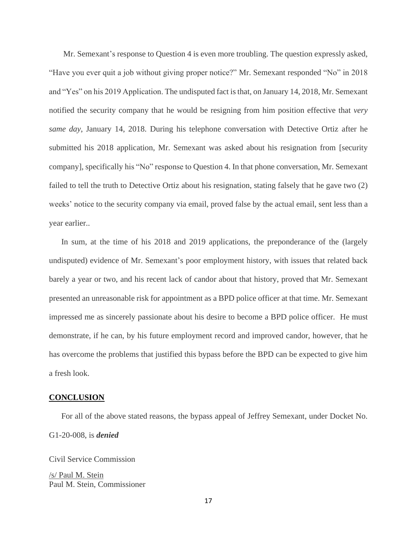Mr. Semexant's response to Question 4 is even more troubling. The question expressly asked, "Have you ever quit a job without giving proper notice?" Mr. Semexant responded "No" in 2018 and "Yes" on his 2019 Application. The undisputed fact is that, on January 14, 2018, Mr. Semexant notified the security company that he would be resigning from him position effective that *very same day*, January 14, 2018. During his telephone conversation with Detective Ortiz after he submitted his 2018 application, Mr. Semexant was asked about his resignation from [security company], specifically his "No" response to Question 4. In that phone conversation, Mr. Semexant failed to tell the truth to Detective Ortiz about his resignation, stating falsely that he gave two (2) weeks' notice to the security company via email, proved false by the actual email, sent less than a year earlier..

In sum, at the time of his 2018 and 2019 applications, the preponderance of the (largely undisputed) evidence of Mr. Semexant's poor employment history, with issues that related back barely a year or two, and his recent lack of candor about that history, proved that Mr. Semexant presented an unreasonable risk for appointment as a BPD police officer at that time. Mr. Semexant impressed me as sincerely passionate about his desire to become a BPD police officer. He must demonstrate, if he can, by his future employment record and improved candor, however, that he has overcome the problems that justified this bypass before the BPD can be expected to give him a fresh look.

## **CONCLUSION**

For all of the above stated reasons, the bypass appeal of Jeffrey Semexant, under Docket No. G1-20-008, is *denied*

Civil Service Commission

/s/ Paul M. Stein Paul M. Stein, Commissioner